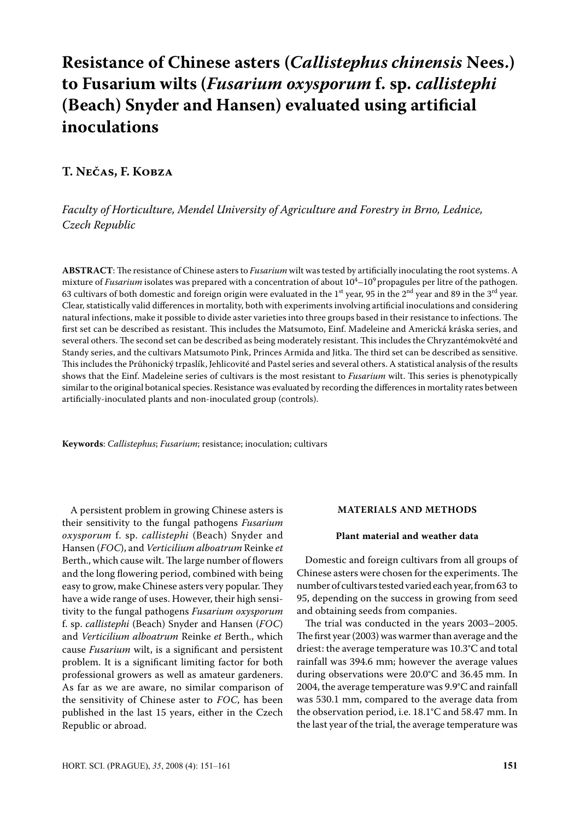# **Resistance of Chinese asters (***Callistephus chinensis* **Nees.) to Fusarium wilts (***Fusarium oxysporum* **f. sp.** *callistephi*  **(Beach) Snyder and Hansen) evaluated using artificial inoculations**

## **T. Nečas, F. Kobza**

## *Faculty of Horticulture, Mendel University of Agriculture and Forestry in Brno, Lednice, Czech Republic*

**ABSTRACT**: The resistance of Chinese asters to *Fusarium* wilt was tested by artificially inoculating the root systems. A mixture of *Fusarium* isolates was prepared with a concentration of about  $10^4\text{--}10^9$  propagules per litre of the pathogen. 63 cultivars of both domestic and foreign origin were evaluated in the 1<sup>st</sup> year, 95 in the 2<sup>nd</sup> year and 89 in the 3<sup>rd</sup> year. Clear, statistically valid differences in mortality, both with experiments involving artificial inoculations and considering natural infections, make it possible to divide aster varieties into three groups based in their resistance to infections. The first set can be described as resistant. This includes the Matsumoto, Einf. Madeleine and Americká kráska series, and several others. The second set can be described as being moderately resistant. This includes the Chryzantémokvěté and Standy series, and the cultivars Matsumoto Pink, Princes Armida and Jitka. The third set can be described as sensitive. This includes the Průhonický trpaslík, Jehlicovité and Pastel series and several others. A statistical analysis of the results shows that the Einf. Madeleine series of cultivars is the most resistant to *Fusarium* wilt. This series is phenotypically similar to the original botanical species. Resistance was evaluated by recording the differences in mortality rates between artificially-inoculated plants and non-inoculated group (controls).

**Keywords**: *Callistephus*; *Fusarium*; resistance; inoculation; cultivars

A persistent problem in growing Chinese asters is their sensitivity to the fungal pathogens *Fusarium oxysporum* f. sp. *callistephi* (Beach) Snyder and Hansen (*FOC*), and *Verticilium alboatrum* Reinke *et* Berth., which cause wilt. The large number of flowers and the long flowering period, combined with being easy to grow, make Chinese asters very popular. They have a wide range of uses. However, their high sensitivity to the fungal pathogens *Fusarium oxysporum* f. sp. *callistephi* (Beach) Snyder and Hansen (*FOC*) and *Verticilium alboatrum* Reinke *et* Berth., which cause *Fusarium* wilt, is a significant and persistent problem. It is a significant limiting factor for both professional growers as well as amateur gardeners. As far as we are aware, no similar comparison of the sensitivity of Chinese aster to *FOC*, has been published in the last 15 years, either in the Czech Republic or abroad.

### **MATERIALS AND METHODS**

### **Plant material and weather data**

Domestic and foreign cultivars from all groups of Chinese asters were chosen for the experiments. The number of cultivars tested varied each year, from 63 to 95, depending on the success in growing from seed and obtaining seeds from companies.

The trial was conducted in the years 2003–2005. The first year (2003) was warmer than average and the driest: the average temperature was 10.3°C and total rainfall was 394.6 mm; however the average values during observations were 20.0°C and 36.45 mm. In 2004, the average temperature was 9.9°C and rainfall was 530.1 mm, compared to the average data from the observation period, i.e. 18.1°C and 58.47 mm. In the last year of the trial, the average temperature was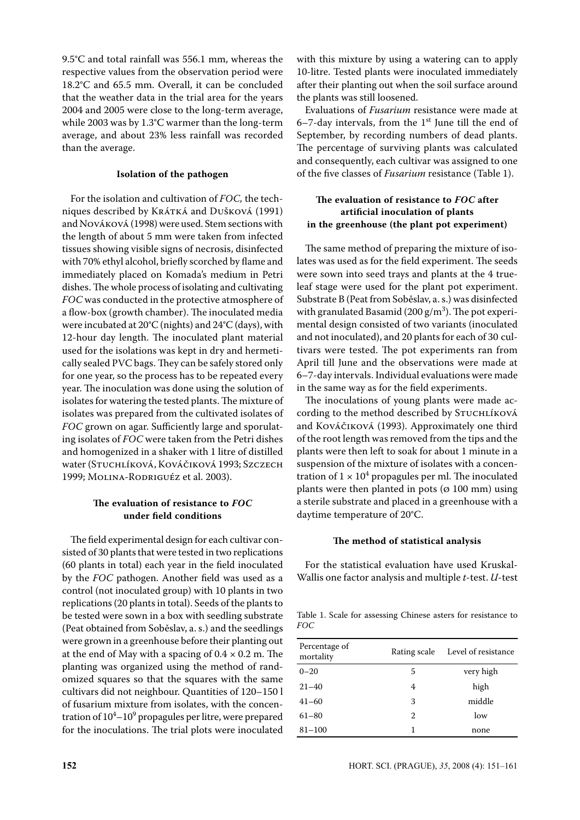9.5°C and total rainfall was 556.1 mm, whereas the respective values from the observation period were 18.2°C and 65.5 mm. Overall, it can be concluded that the weather data in the trial area for the years 2004 and 2005 were close to the long-term average, while 2003 was by 1.3°C warmer than the long-term average, and about 23% less rainfall was recorded than the average.

## **Isolation of the pathogen**

For the isolation and cultivation of *FOC,* the techniques described by Krátká and Dušková (1991) and Nováková (1998) were used. Stem sections with the length of about 5 mm were taken from infected tissues showing visible signs of necrosis, disinfected with 70% ethyl alcohol, briefly scorched by flame and immediately placed on Komada's medium in Petri dishes. The whole process of isolating and cultivating *FOC* was conducted in the protective atmosphere of a flow-box (growth chamber). The inoculated media were incubated at 20°C (nights) and 24°C (days), with 12-hour day length. The inoculated plant material used for the isolations was kept in dry and hermetically sealed PVC bags. They can be safely stored only for one year, so the process has to be repeated every year. The inoculation was done using the solution of isolates for watering the tested plants. The mixture of isolates was prepared from the cultivated isolates of *FOC* grown on agar. Sufficiently large and sporulating isolates of *FOC* were taken from the Petri dishes and homogenized in a shaker with 1 litre of distilled water (Stuchlíková, Kováčiková 1993; Szczech 1999; Molina-Rodriguéz et al. 2003).

## **The evaluation of resistance to** *FOC* **under field conditions**

The field experimental design for each cultivar consisted of 30 plants that were tested in two replications (60 plants in total) each year in the field inoculated by the *FOC* pathogen. Another field was used as a control (not inoculated group) with 10 plants in two replications (20 plants in total). Seeds of the plants to be tested were sown in a box with seedling substrate (peat obtained from Soběslav, a. s.) and the seedlings were grown in a greenhouse before their planting out at the end of May with a spacing of  $0.4 \times 0.2$  m. The planting was organized using the method of randomized squares so that the squares with the same cultivars did not neighbour. Quantities of 120–150 l of fusarium mixture from isolates, with the concentration of  $10^4$ – $10^9$  propagules per litre, were prepared for the inoculations. The trial plots were inoculated with this mixture by using a watering can to apply 10-litre. Tested plants were inoculated immediately after their planting out when the soil surface around the plants was still loosened.

Evaluations of *Fusarium* resistance were made at  $6-7$ -day intervals, from the  $1<sup>st</sup>$  June till the end of September, by recording numbers of dead plants. The percentage of surviving plants was calculated and consequently, each cultivar was assigned to one of the five classes of *Fusarium* resistance (Table 1).

## **The evaluation of resistance to** *FOC* **after artificial inoculation of plants in the greenhouse (the plant pot experiment)**

The same method of preparing the mixture of isolates was used as for the field experiment. The seeds were sown into seed trays and plants at the 4 trueleaf stage were used for the plant pot experiment. Substrate B (Peat from Soběslav, a. s.) was disinfected with granulated Basamid (200  $\rm g/m^3$ ). The pot experimental design consisted of two variants (inoculated and not inoculated), and 20 plants for each of 30 cultivars were tested. The pot experiments ran from April till June and the observations were made at 6–7-day intervals. Individual evaluations were made in the same way as for the field experiments.

The inoculations of young plants were made according to the method described by STUCHLÍKOVÁ and Kováčiková (1993). Approximately one third of the root length was removed from the tips and the plants were then left to soak for about 1 minute in a suspension of the mixture of isolates with a concentration of  $1 \times 10^4$  propagules per ml. The inoculated plants were then planted in pots ( $\varnothing$  100 mm) using a sterile substrate and placed in a greenhouse with a daytime temperature of 20°C.

### **The method of statistical analysis**

For the statistical evaluation have used Kruskal-Wallis one factor analysis and multiple *t*-test. *U*-test

Table 1. Scale for assessing Chinese asters for resistance to *FOC*

| Percentage of<br>mortality | Rating scale | Level of resistance |
|----------------------------|--------------|---------------------|
| $0 - 20$                   | 5            | very high           |
| $21 - 40$                  | 4            | high                |
| $41 - 60$                  | 3            | middle              |
| $61 - 80$                  | 2            | low                 |
| $81 - 100$                 | 1            | none                |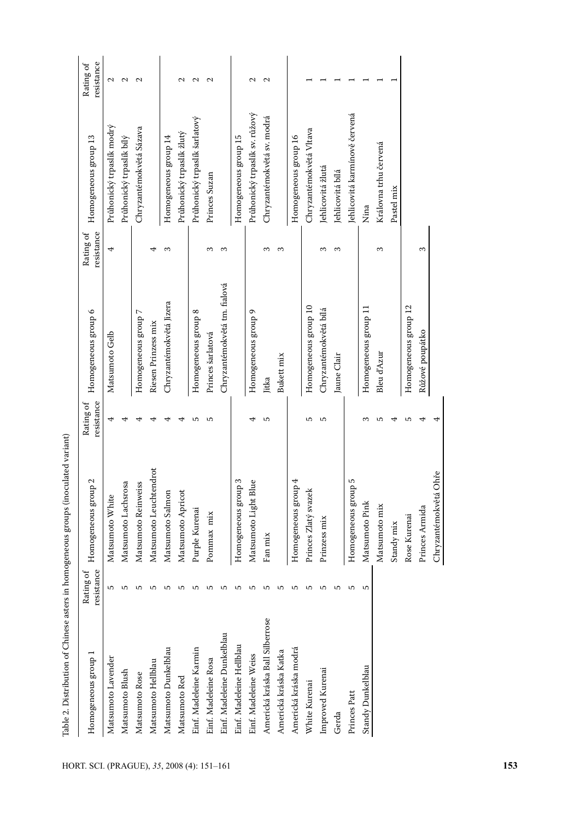| i                                                                                                                                                                                                                                   |
|-------------------------------------------------------------------------------------------------------------------------------------------------------------------------------------------------------------------------------------|
|                                                                                                                                                                                                                                     |
|                                                                                                                                                                                                                                     |
|                                                                                                                                                                                                                                     |
|                                                                                                                                                                                                                                     |
|                                                                                                                                                                                                                                     |
|                                                                                                                                                                                                                                     |
|                                                                                                                                                                                                                                     |
|                                                                                                                                                                                                                                     |
|                                                                                                                                                                                                                                     |
|                                                                                                                                                                                                                                     |
| serve the function of the line of the control of the control of the control of the control of the control of the control of the control of the control of the control of the control of the control of the control of the cont<br>İ |
|                                                                                                                                                                                                                                     |
|                                                                                                                                                                                                                                     |
|                                                                                                                                                                                                                                     |
|                                                                                                                                                                                                                                     |
|                                                                                                                                                                                                                                     |
| :<br>:<br>:                                                                                                                                                                                                                         |
|                                                                                                                                                                                                                                     |
|                                                                                                                                                                                                                                     |
|                                                                                                                                                                                                                                     |
|                                                                                                                                                                                                                                     |
|                                                                                                                                                                                                                                     |
|                                                                                                                                                                                                                                     |
| $\vdots$                                                                                                                                                                                                                            |
|                                                                                                                                                                                                                                     |
|                                                                                                                                                                                                                                     |
|                                                                                                                                                                                                                                     |
|                                                                                                                                                                                                                                     |
| ֧֧֢֧֢ׅ֧֢֛֛֧֧ׅ֧֧֧֚֚֚֚֚֚֚֚֚֚֚֚֚֚֚֚֬֜֡֜֝֜֜֜                                                                                                                                                                                            |
|                                                                                                                                                                                                                                     |
| ;                                                                                                                                                                                                                                   |

| 4<br>Matsumoto Gelb               |                                |                   |
|-----------------------------------|--------------------------------|-------------------|
|                                   | Průhonický trpaslík modrý      | $\sim$            |
|                                   | Průhonický trpaslík bílý       | $\sim$            |
| Homogeneous group 7               | Chryzantémokvětá Sázava        | $\sim$            |
| ₹<br>Riesen Prinzess mix          |                                |                   |
| S<br>Chryzantémokvětá Jizera      | Homogeneous group 14           |                   |
|                                   | Průhonický trpaslík žlutý      | $\mathbf{\sim}$   |
| Homogeneous group 8               | Průhonický trpaslík šarlatový  | $\sim$            |
| S<br>Princes šarlatová            | Princes Suzan                  | $\sim$            |
| S<br>Chryzantémokvětá tm. fialová |                                |                   |
|                                   | Homogeneous group 15           |                   |
| Homogeneous group 9               | Průhonický trpaslík sv. růžový | $\mathbf{\Omega}$ |
| S                                 | Chryzantémokvětá sv. modrá     | $\mathbf{\Omega}$ |
| S<br>Bukett mix                   |                                |                   |
|                                   | Homogeneous group 16           |                   |
| Homogeneous group 10              | Chryzantémokvětá Vltava        |                   |
| S<br>Chryzantémokvětá bílá        | Jehlicovitá žlutá              |                   |
| $\infty$<br>Jaune Clair           | lehlicovitá bílá               |                   |
|                                   | Jehlicovitá karmínově červená  |                   |
| Homogeneous group 11              | Nina                           |                   |
| 3<br>Bleu d'Azur                  | Královna trhu červená          |                   |
|                                   | Pastel mix                     |                   |
| Homogeneous group 12              |                                |                   |
| 3<br>Růžové poupátko              |                                |                   |
|                                   |                                |                   |
|                                   |                                |                   |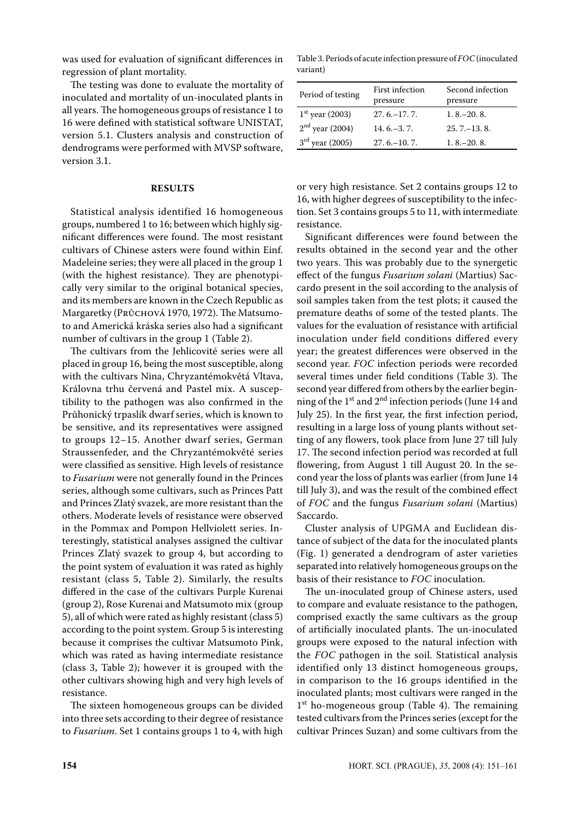was used for evaluation of significant differences in regression of plant mortality.

The testing was done to evaluate the mortality of inoculated and mortality of un-inoculated plants in all years. The homogeneous groups of resistance 1 to 16 were defined with statistical software UNISTAT, version 5.1. Clusters analysis and construction of dendrograms were performed with MVSP software, version 3.1.

#### **RESULTS**

Statistical analysis identified 16 homogeneous groups, numbered 1 to 16; between which highly significant differences were found. The most resistant cultivars of Chinese asters were found within Einf. Madeleine series; they were all placed in the group 1 (with the highest resistance). They are phenotypically very similar to the original botanical species, and its members are known in the Czech Republic as Margaretky (Рвисноvа 1970, 1972). The Matsumoto and Americká kráska series also had a significant number of cultivars in the group 1 (Table 2).

The cultivars from the jehlicovité series were all placed in group 16, being the most susceptible, along with the cultivars Nina, Chryzantémokvětá Vltava, Královna trhu červená and Pastel mix. A susceptibility to the pathogen was also confirmed in the Průhonický trpaslík dwarf series, which is known to be sensitive, and its representatives were assigned to groups 12–15. Another dwarf series, German Straussenfeder, and the Chryzantémokvěté series were classified as sensitive. High levels of resistance to *Fusarium* were not generally found in the Princes series, although some cultivars, such as Princes Patt and Princes Zlatý svazek, are more resistant than the others. Moderate levels of resistance were observed in the Pommax and Pompon Hellviolett series. Interestingly, statistical analyses assigned the cultivar Princes Zlatý svazek to group 4, but according to the point system of evaluation it was rated as highly resistant (class 5, Table 2). Similarly, the results differed in the case of the cultivars Purple Kurenai (group 2), Rose Kurenai and Matsumoto mix (group 5), all of which were rated as highly resistant (class 5) according to the point system. Group 5 is interesting because it comprises the cultivar Matsumoto Pink, which was rated as having intermediate resistance (class 3, Table 2); however it is grouped with the other cultivars showing high and very high levels of resistance.

The sixteen homogeneous groups can be divided into three sets according to their degree of resistance to *Fusarium*. Set 1 contains groups 1 to 4, with high

Table 3. Periods of acute infection pressure of *FOC* (inoculated variant)

| Period of testing    | First infection<br>pressure | Second infection<br>pressure |
|----------------------|-----------------------------|------------------------------|
| $1^{st}$ year (2003) | $27.6 - 17.7$               | $1.8 - 20.8$                 |
| $2nd$ year (2004)    | $14.6 - 3.7$                | $25.7 - 13.8$                |
| $3rd$ year (2005)    | $27.6 - 10.7$               | $1.8 - 20.8$                 |

or very high resistance. Set 2 contains groups 12 to 16, with higher degrees of susceptibility to the infection. Set 3 contains groups 5 to 11, with intermediate resistance.

Significant differences were found between the results obtained in the second year and the other two years. This was probably due to the synergetic effect of the fungus *Fusarium solani* (Martius) Saccardo present in the soil according to the analysis of soil samples taken from the test plots; it caused the premature deaths of some of the tested plants. The values for the evaluation of resistance with artificial inoculation under field conditions differed every year; the greatest differences were observed in the second year. *FOC* infection periods were recorded several times under field conditions (Table 3). The second year differed from others by the earlier beginning of the 1st and 2nd infection periods (June 14 and July 25). In the first year, the first infection period, resulting in a large loss of young plants without setting of any flowers, took place from June 27 till July 17. The second infection period was recorded at full flowering, from August 1 till August 20. In the second year the loss of plants was earlier (from June 14 till July 3), and was the result of the combined effect of *FOC* and the fungus *Fusarium solani* (Martius) Saccardo.

Cluster analysis of UPGMA and Euclidean distance of subject of the data for the inoculated plants (Fig. 1) generated a dendrogram of aster varieties separated into relatively homogeneous groups on the basis of their resistance to *FOC* inoculation.

The un-inoculated group of Chinese asters, used to compare and evaluate resistance to the pathogen, comprised exactly the same cultivars as the group of artificially inoculated plants. The un-inoculated groups were exposed to the natural infection with the *FOC* pathogen in the soil. Statistical analysis identified only 13 distinct homogeneous groups, in comparison to the 16 groups identified in the inoculated plants; most cultivars were ranged in the 1<sup>st</sup> ho-mogeneous group (Table 4). The remaining tested cultivars from the Princes series (except for the cultivar Princes Suzan) and some cultivars from the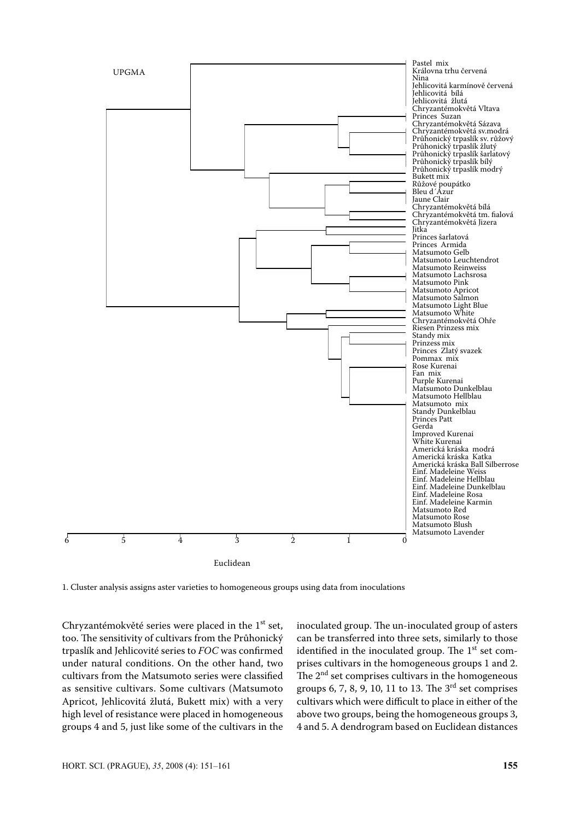

1. Cluster analysis assigns aster varieties to homogeneous groups using data from inoculations

Chryzantémokvěté series were placed in the  $1<sup>st</sup>$  set, too. The sensitivity of cultivars from the Průhonický trpaslík and jehlicovité series to *FOC* was confirmed under natural conditions. On the other hand, two cultivars from the Matsumoto series were classified as sensitive cultivars. Some cultivars (Matsumoto Apricot, Jehlicovitá žlutá, Bukett mix) with a very high level of resistance were placed in homogeneous groups 4 and 5, just like some of the cultivars in the inoculated group. The un-inoculated group of asters can be transferred into three sets, similarly to those identified in the inoculated group. The  $1<sup>st</sup>$  set comprises cultivars in the homogeneous groups 1 and 2. The  $2<sup>nd</sup>$  set comprises cultivars in the homogeneous groups 6, 7, 8, 9, 10, 11 to 13. The  $3<sup>rd</sup>$  set comprises cultivars which were difficult to place in either of the above two groups, being the homogeneous groups 3, 4 and 5. A dendrogram based on Euclidean distances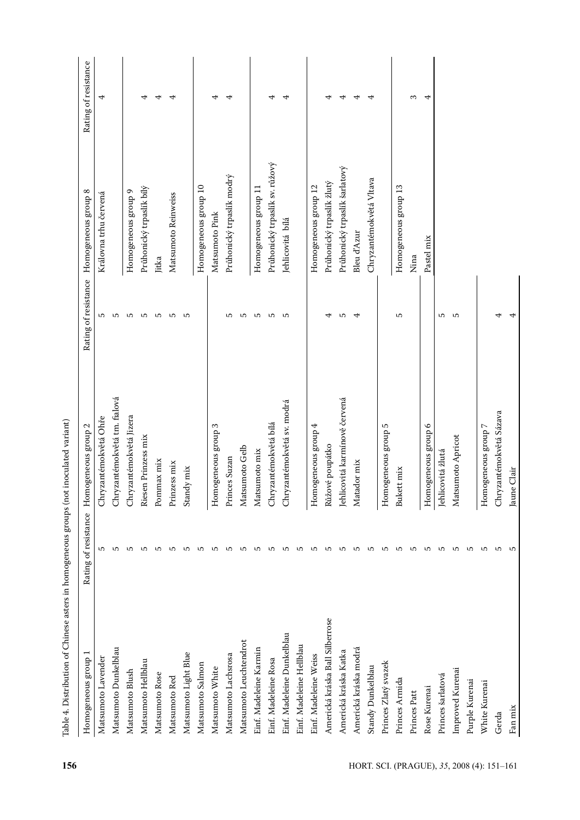| Homogeneous group               | Rating of resistance | Homogeneous group 2           | Rating of resistance | Homogeneous group 8            | Rating of resistance |
|---------------------------------|----------------------|-------------------------------|----------------------|--------------------------------|----------------------|
| Matsumoto Lavender              | ъ                    | Chryzantémokvětá Ohře         | ъ                    | Královna trhu červená          | 4                    |
| Matsumoto Dunkelblau            | 5                    | Chryzantémokvětá tm. fialová  | ъ                    |                                |                      |
| Matsumoto Blush                 | S                    | Chryzantémokvětá Jizera       | S                    | Homogeneous group 9            |                      |
| Matsumoto Hellblau              | ъ                    | Riesen Prinzess mix           | r                    | Průhonický trpaslík bílý       | 4                    |
| Matsumoto Rose                  | ю                    | Pommax mix                    | S                    | Jitka                          |                      |
| Matsumoto Red                   | S                    | Prinzess mix                  | 5                    | Matsumoto Reinweiss            |                      |
| Matsumoto Light Blue            | S                    | Standy mix                    | S                    |                                |                      |
| Matsumoto Salmon                | ص                    |                               |                      | Homogeneous group 10           |                      |
| Matsumoto White                 | ъ                    | Homogeneous group 3           |                      | Matsumoto Pink                 | 4                    |
| Matsumoto Lachsrosa             | S                    | Princes Suzan                 | 5                    | Průhonický trpaslík modrý      | 4                    |
| Matsumoto Leuchtendrot          | 5                    | Matsumoto Gelb                | ъ                    |                                |                      |
| Einf. Madeleine Karmin          | S                    | Matsumoto mix                 | 5                    | Homogeneous group 11           |                      |
| Einf. Madeleine Rosa            | S                    | Chryzantémokvětá bílá         | 5                    | Průhonický trpaslík sv. růžový | 4                    |
| Einf. Madeleine Dunkelblau      | S                    | Chryzantémokvětá sv. modrá    | S                    | Jehlicovitá bílá               |                      |
| Einf. Madeleine Hellblau        | ъ                    |                               |                      |                                |                      |
| Einf. Madeleine Weiss           | S                    | Homogeneous group 4           |                      | Homogeneous group 12           |                      |
| Americká kráska Ball Silberrose | ъ                    | Růžové poupátko               | 4                    | Průhonický trpaslík žlutý      |                      |
| Americká kráska Katka           | ъ                    | Jehlicovitá karmínově červená | ъ                    | Průhonický trpaslík šarlatový  | 4                    |
| Americká kráska modrá           | S                    | Matador mix                   | 4                    | Bleu d'Azur                    | 4                    |
| Standy Dunkelblau               | S                    |                               |                      | Chryzantémokvětá Vltava        |                      |
| Princes Zlatý svazek            | S                    | Homogeneous group 5           |                      |                                |                      |
| Princes Armida                  | S                    | Bukett mix                    | S                    | Homogeneous group 13           |                      |
| Princes Patt                    | ъ                    |                               |                      | Nina                           | S                    |
| Rose Kurenai                    | S                    | Homogeneous group 6           |                      | Pastel mix                     | 4                    |
| Princes šarlatová               | S                    | Jehlicovitá žlutá             | ю                    |                                |                      |
| Improved Kurenai                | S                    | Matsumoto Apricot             | S                    |                                |                      |
| Purple Kurenai                  | 5                    |                               |                      |                                |                      |
| White Kurenai                   | 5                    | Homogeneous group 7           |                      |                                |                      |
| Gerda                           | S                    | Chryzantémokvětá Sázava       | 4                    |                                |                      |
| Fan mix                         | S                    | Jaune Clair                   | 4                    |                                |                      |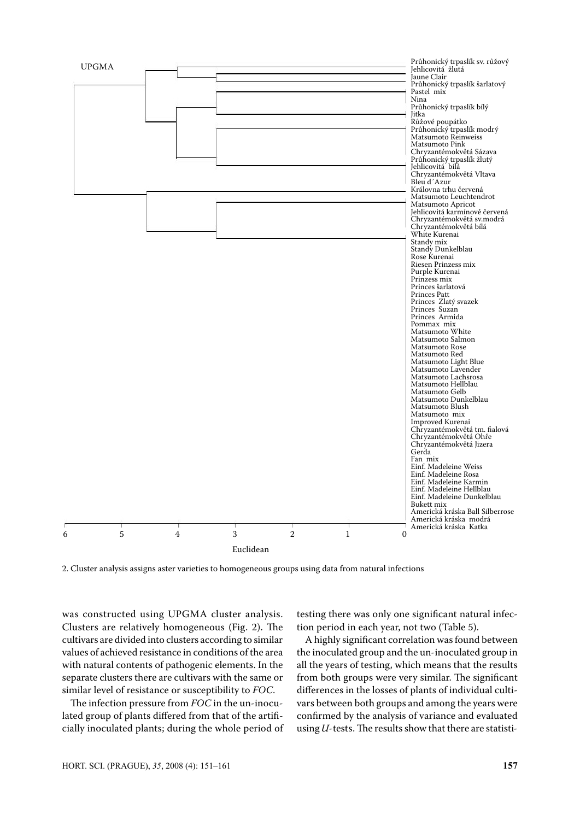

2. Cluster analysis assigns aster varieties to homogeneous groups using data from natural infections

was constructed using UPGMA cluster analysis. Clusters are relatively homogeneous (Fig. 2). The cultivars are divided into clusters according to similar values of achieved resistance in conditions of the area with natural contents of pathogenic elements. In the separate clusters there are cultivars with the same or similar level of resistance or susceptibility to *FOC*.

The infection pressure from *FOC* in the un-inoculated group of plants differed from that of the artificially inoculated plants; during the whole period of

testing there was only one significant natural infection period in each year, not two (Table 5).

A highly significant correlation was found between the inoculated group and the un-inoculated group in all the years of testing, which means that the results from both groups were very similar. The significant differences in the losses of plants of individual cultivars between both groups and among the years were confirmed by the analysis of variance and evaluated using *U*-tests. The results show that there are statisti-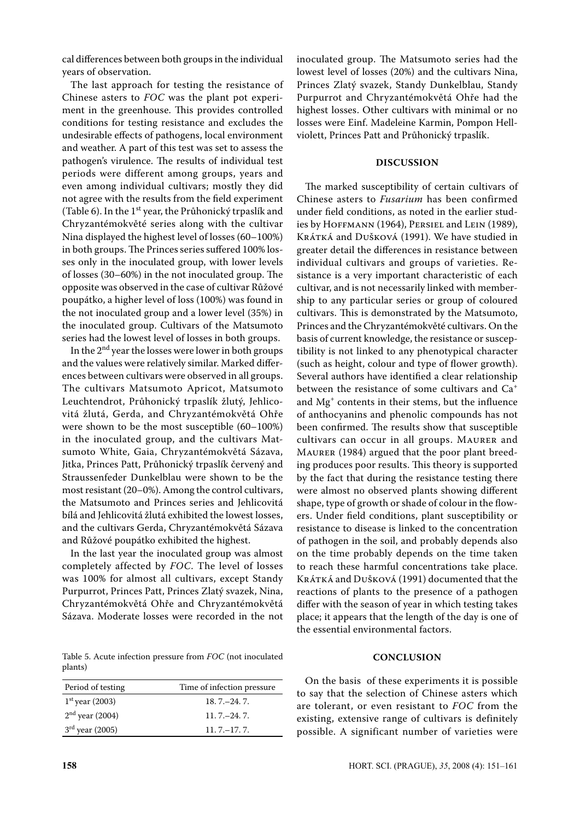cal differences between both groups in the individual years of observation.

The last approach for testing the resistance of Chinese asters to *FOC* was the plant pot experiment in the greenhouse. This provides controlled conditions for testing resistance and excludes the undesirable effects of pathogens, local environment and weather. A part of this test was set to assess the pathogen's virulence. The results of individual test periods were different among groups, years and even among individual cultivars; mostly they did not agree with the results from the field experiment (Table 6). In the  $1<sup>st</sup>$  year, the Průhonický trpaslík and Chryzantémokvěté series along with the cultivar Nina displayed the highest level of losses (60–100%) in both groups. The Princes series suffered 100% losses only in the inoculated group, with lower levels of losses (30–60%) in the not inoculated group. The opposite was observed in the case of cultivar Růžové poupátko, a higher level of loss (100%) was found in the not inoculated group and a lower level (35%) in the inoculated group. Cultivars of the Matsumoto series had the lowest level of losses in both groups.

In the  $2<sup>nd</sup>$  year the losses were lower in both groups and the values were relatively similar. Marked differences between cultivars were observed in all groups. The cultivars Matsumoto Apricot, Matsumoto Leuchtendrot, Průhonický trpaslík žlutý, Jehlicovitá žlutá, Gerda, and Chryzantémokvětá Ohře were shown to be the most susceptible (60–100%) in the inoculated group, and the cultivars Matsumoto White, Gaia, Chryzantémokvětá Sázava, Jitka, Princes Patt, Průhonický trpaslík červený and Straussenfeder Dunkelblau were shown to be the most resistant (20–0%). Among the control cultivars, the Matsumoto and Princes series and Jehlicovitá bílá and Jehlicovitá žlutá exhibited the lowest losses, and the cultivars Gerda, Chryzantémokvětá Sázava and Růžové poupátko exhibited the highest.

In the last year the inoculated group was almost completely affected by *FOC*. The level of losses was 100% for almost all cultivars, except Standy Purpurrot, Princes Patt, Princes zlatý svazek, Nina, Chryzantémokvětá Ohře and Chryzantémokvětá Sázava. Moderate losses were recorded in the not

Table 5. Acute infection pressure from *FOC* (not inoculated plants)

| Period of testing | Time of infection pressure. |
|-------------------|-----------------------------|
| $1st$ year (2003) | $18.7 - 24.7$               |
| $2nd$ year (2004) | $11.7 - 24.7$               |
| $3rd$ year (2005) | $11.7 - 17.7$               |

inoculated group. The Matsumoto series had the lowest level of losses (20%) and the cultivars Nina, Princes Zlatý svazek, Standy Dunkelblau, Standy Purpurrot and Chryzantémokvětá Ohře had the highest losses. Other cultivars with minimal or no losses were Einf. Madeleine Karmin, Pompon Hellviolett, Princes Patt and Průhonický trpaslík.

## **DISCUSSION**

The marked susceptibility of certain cultivars of Chinese asters to *Fusarium* has been confirmed under field conditions, as noted in the earlier studies by Hoffmann (1964), Persiel and Lein (1989), KRÁTKÁ and DUŠKOVÁ (1991). We have studied in greater detail the differences in resistance between individual cultivars and groups of varieties. Resistance is a very important characteristic of each cultivar, and is not necessarily linked with membership to any particular series or group of coloured cultivars. This is demonstrated by the Matsumoto, Princes and the Chryzantémokvěté cultivars. On the basis of current knowledge, the resistance or susceptibility is not linked to any phenotypical character (such as height, colour and type of flower growth). Several authors have identified a clear relationship between the resistance of some cultivars and Ca<sup>+</sup> and Mg+ contents in their stems, but the influence of anthocyanins and phenolic compounds has not been confirmed. The results show that susceptible cultivars can occur in all groups. Maurer and Maurer (1984) argued that the poor plant breeding produces poor results. This theory is supported by the fact that during the resistance testing there were almost no observed plants showing different shape, type of growth or shade of colour in the flowers. Under field conditions, plant susceptibility or resistance to disease is linked to the concentration of pathogen in the soil, and probably depends also on the time probably depends on the time taken to reach these harmful concentrations take place. KRÁTKÁ and Dušková (1991) documented that the reactions of plants to the presence of a pathogen differ with the season of year in which testing takes place; it appears that the length of the day is one of the essential environmental factors.

## **CONCLUSION**

On the basis of these experiments it is possible to say that the selection of Chinese asters which are tolerant, or even resistant to *FOC* from the existing, extensive range of cultivars is definitely possible. A significant number of varieties were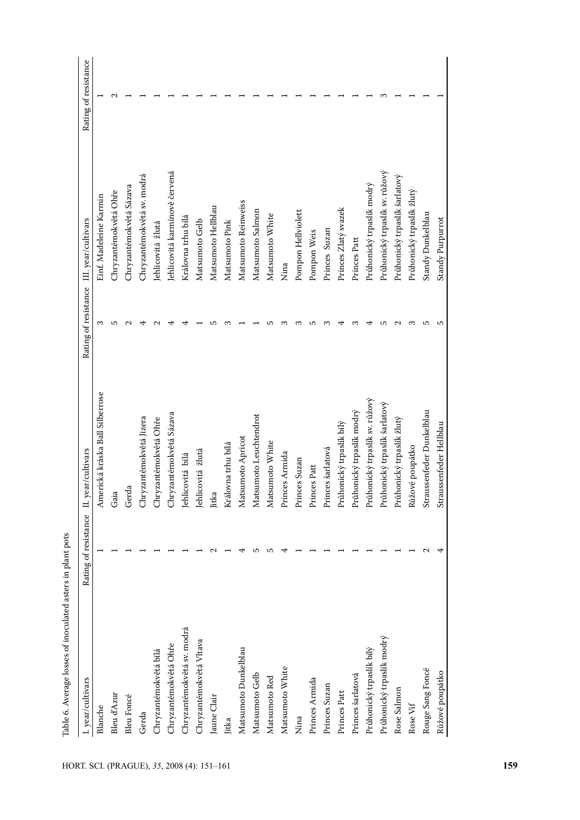| I. year/cultivars          | Rating of resistance | II. year/cultivars              | Rating of resistance | III. year/cultivars            | Rating of resistance |
|----------------------------|----------------------|---------------------------------|----------------------|--------------------------------|----------------------|
| Blanche                    |                      | Americká kráska Ball Silberrose | S                    | Einf. Madeleine Karmin         |                      |
| Bleu d'Azur                |                      | Gaia                            | ص                    | Chryzantémokvětá Ohře          | $\mathbf{\sim}$      |
| <b>Bleu Foncé</b>          |                      | Gerda                           |                      | Chryzantémokvětá Sázava        |                      |
| Gerda                      |                      | Chryzantémokvětá Jizera         |                      | Chryzantémokvětá sv. modrá     |                      |
| Chryzantémokvětá bílá      |                      | Chryzantémokvětá Ohře           |                      | Jehlicovitá žlutá              |                      |
| Chryzantémokvětá Ohře      |                      | Chryzantémokvětá Sázava         |                      | Jehlicovitá karmínově červená  |                      |
| Chryzantémokvětá sv. modrá |                      | Jehlicovitá bílá                |                      | Královna trhu bílá             |                      |
| Chryzantémokvětá Vltava    |                      | Jehlicovitá žlutá               |                      | Matsumoto Gelb                 |                      |
| Jaune Clair                | $\sim$               | Jitka                           |                      | Matsumoto Hellblau             |                      |
| Jitka                      |                      | Královna trhu bílá              |                      | Matsumoto Pink                 |                      |
| Matsumoto Dunkelblau       | 4                    | Matsumoto Apricot               |                      | Matsumoto Reinweiss            |                      |
| Matsumoto Gelb             | 5                    | Matsumoto Leuchtendrot          |                      | Matsumoto Salmon               |                      |
| Matsumoto Red              | S                    | Matsumoto White                 |                      | Matsumoto White                |                      |
| Matsumoto White            | ₹                    | Princes Armida                  |                      | Nina                           |                      |
| Nina                       |                      | Princes Suzan                   |                      | Pompon Hellviolett             |                      |
| Princes Armida             |                      | Princes Patt                    | ص                    | Pompon Weis                    |                      |
| Princes Suzan              |                      | Princes šarlatová               |                      | Princes Suzan                  |                      |
| Princes Patt               |                      | Průhonický trpaslík bílý        |                      | Princes Zlatý svazek           |                      |
| Princes šarlatová          |                      | Průhonický trpaslík modrý       | S                    | Princes Patt                   |                      |
| Průhonický trpaslík bílý   |                      | Průhonický trpaslík sv. růžový  |                      | Průhonický trpaslík modrý      |                      |
| Průhonický trpaslík modrý  |                      | Průhonický trpaslík šarlatový   | ഥ                    | Průhonický trpaslík sv. růžový |                      |
| Rose Salmon                |                      | Průhonický trpaslík žlutý       |                      | Průhonický trpaslík šarlatový  |                      |
| Rose Vif                   |                      | Růžové poupátko                 | ∞                    | Průhonický trpaslík žlutý      |                      |
| Rouge Sang Foncé           | $\mathbf{\Omega}$    | Straussenfeder Dunkelblau       | 5                    | Standy Dunkelblau              |                      |
| Růžové poupátko            | ₹                    | Straussenfeder Hellblau         | S                    | Standy Purpurrot               |                      |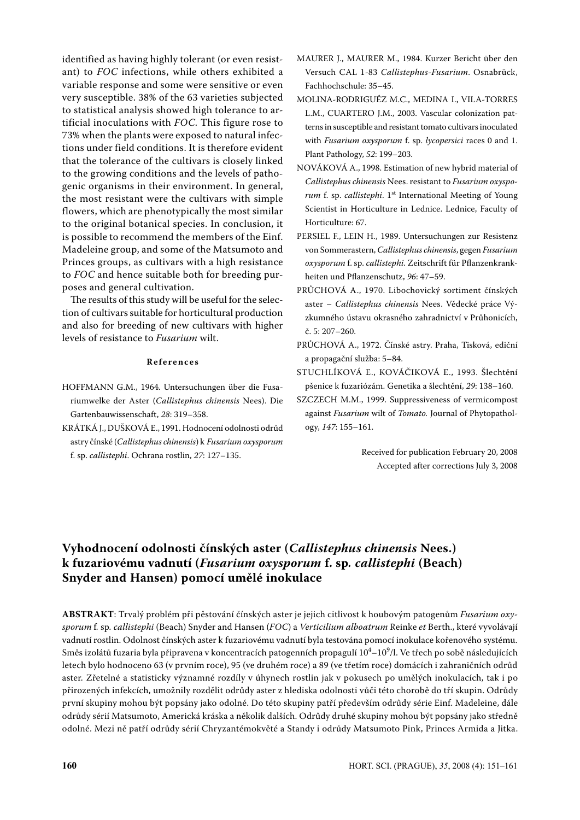identified as having highly tolerant (or even resistant) to *FOC* infections, while others exhibited a variable response and some were sensitive or even very susceptible. 38% of the 63 varieties subjected to statistical analysis showed high tolerance to artificial inoculations with *FOC*. This figure rose to 73% when the plants were exposed to natural infections under field conditions. It is therefore evident that the tolerance of the cultivars is closely linked to the growing conditions and the levels of pathogenic organisms in their environment. In general, the most resistant were the cultivars with simple flowers, which are phenotypically the most similar to the original botanical species. In conclusion, it is possible to recommend the members of the Einf. Madeleine group, and some of the Matsumoto and Princes groups, as cultivars with a high resistance to *FOC* and hence suitable both for breeding purposes and general cultivation.

The results of this study will be useful for the selection of cultivars suitable for horticultural production and also for breeding of new cultivars with higher levels of resistance to *Fusarium* wilt.

#### **R e f e r e n c e s**

- HOFFMANN G.M., 1964. Untersuchungen über die Fusariumwelke der Aster (*Callistephus chinensis* Nees). Die Gartenbauwissenschaft, *28*: 319–358.
- KRÁTKÁ J., DUŠKOVÁ E., 1991. Hodnocení odolnosti odrůd astry čínské (*Callistephus chinensis*) k *Fusarium oxysporum* f. sp. *callistephi*. Ochrana rostlin, *27*: 127–135.
- MAURER J., MAURER M., 1984. Kurzer Bericht über den Versuch CAL 1-83 *Callistephus*-*Fusarium*. Osnabrück, Fachhochschule: 35–45.
- MOLINA-RODRIGUÉZ M.C., MEDINA I., VILA-TORRES L.M., CUARTERO J.M., 2003. Vascular colonization patterns in susceptible and resistant tomato cultivars inoculated with *Fusarium oxysporum* f. sp. *lycopersici* races 0 and 1. Plant Pathology, *52*: 199–203.
- NOVÁKOVÁ A., 1998. Estimation of new hybrid material of *Callistephus chinensis* Nees. resistant to *Fusarium oxyspo*rum f. sp. *callistephi*. 1<sup>st</sup> International Meeting of Young Scientist in Horticulture in Lednice. Lednice, Faculty of Horticulture: 67.
- PERSIEL F., LEIN H., 1989. Untersuchungen zur Resistenz von Sommerastern, *Callistephus chinensis*, gegen *Fusarium oxysporum* f. sp. *callistephi*. Zeitschrift für Pflanzenkrankheiten und Pflanzenschutz, *96*: 47–59.
- PRŮCHOVÁ A., 1970. Libochovický sortiment čínských aster – *Callistephus chinensis* Nees. Vědecké práce Výzkumného ústavu okrasného zahradnictví v Průhonicích, č. 5: 207–260.
- PRŮCHOVÁ A., 1972. Čínské astry. Praha, Tisková, ediční a propagační služba: 5–84.
- STUCHLÍKOVÁ E., KOVÁČIKOVÁ E., 1993. Šlechtění pšenice k fuzariózám. Genetika a šlechtění, *29*: 138–160.
- SZCZECH M.M., 1999. Suppressiveness of vermicompost against *Fusarium* wilt of *Tomato.* Journal of Phytopathology, *147*: 155–161.

Received for publication February 20, 2008 Accepted after corrections July 3, 2008

# **Vyhodnocení odolnosti čínských aster (***Callistephus chinensis* **Nees.) k fuzariovému vadnutí (***Fusarium oxysporum* **f. sp***. callistephi* **(Beach) Snyder and Hansen) pomocí umělé inokulace**

**ABSTRAKT**: Trvalý problém při pěstování čínských aster je jejich citlivost k houbovým patogenům *Fusarium oxysporum* f*.* sp*. callistephi* (Beach) Snyder and Hansen (*FOC*) a *Verticilium alboatrum* Reinke *et* Berth., které vyvolávají vadnutí rostlin. Odolnost čínských aster k fuzariovému vadnutí byla testována pomocí inokulace kořenového systému. Směs izolátů fuzaria byla připravena v koncentracích patogenních propagulí 10 $^{4}$ –10 $^{9}$ /l. Ve třech po sobě následujících letech bylo hodnoceno 63 (v prvním roce), 95 (ve druhém roce) a 89 (ve třetím roce) domácích i zahraničních odrůd aster. Zřetelné a statisticky významné rozdíly v úhynech rostlin jak v pokusech po umělých inokulacích, tak i po přirozených infekcích, umožnily rozdělit odrůdy aster z hlediska odolnosti vůči této chorobě do tří skupin. Odrůdy první skupiny mohou být popsány jako odolné. Do této skupiny patří především odrůdy série Einf. Madeleine, dále odrůdy sérií Matsumoto, Americká kráska a několik dalších. Odrůdy druhé skupiny mohou být popsány jako středně odolné. Mezi ně patří odrůdy sérií Chryzantémokvěté a Standy i odrůdy Matsumoto Pink, Princes Armida a Jitka.